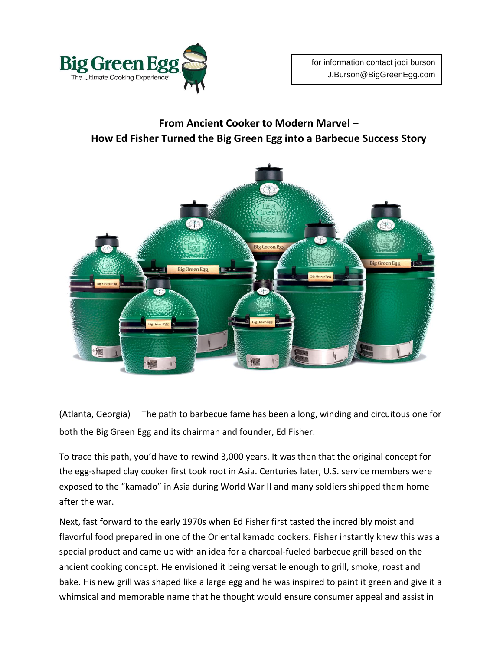

## **From Ancient Cooker to Modern Marvel – How Ed Fisher Turned the Big Green Egg into a Barbecue Success Story**



(Atlanta, Georgia) The path to barbecue fame has been a long, winding and circuitous one for both the Big Green Egg and its chairman and founder, Ed Fisher.

To trace this path, you'd have to rewind 3,000 years. It was then that the original concept for the egg-shaped clay cooker first took root in Asia. Centuries later, U.S. service members were exposed to the "kamado" in Asia during World War II and many soldiers shipped them home after the war.

Next, fast forward to the early 1970s when Ed Fisher first tasted the incredibly moist and flavorful food prepared in one of the Oriental kamado cookers. Fisher instantly knew this was a special product and came up with an idea for a charcoal-fueled barbecue grill based on the ancient cooking concept. He envisioned it being versatile enough to grill, smoke, roast and bake. His new grill was shaped like a large egg and he was inspired to paint it green and give it a whimsical and memorable name that he thought would ensure consumer appeal and assist in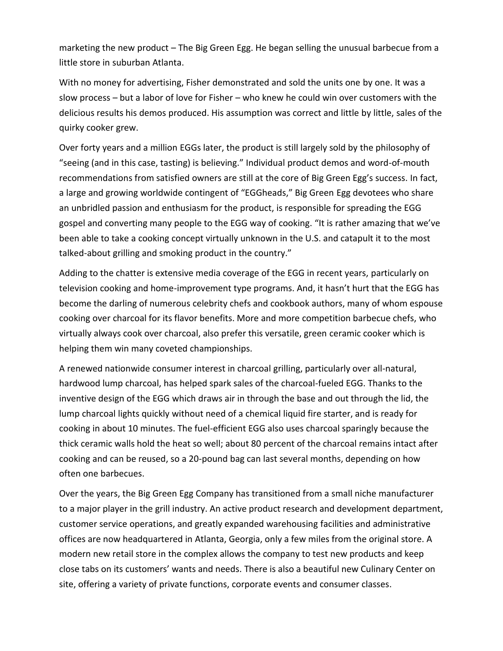marketing the new product – The Big Green Egg. He began selling the unusual barbecue from a little store in suburban Atlanta.

With no money for advertising, Fisher demonstrated and sold the units one by one. It was a slow process – but a labor of love for Fisher – who knew he could win over customers with the delicious results his demos produced. His assumption was correct and little by little, sales of the quirky cooker grew.

Over forty years and a million EGGs later, the product is still largely sold by the philosophy of "seeing (and in this case, tasting) is believing." Individual product demos and word-of-mouth recommendations from satisfied owners are still at the core of Big Green Egg's success. In fact, a large and growing worldwide contingent of "EGGheads," Big Green Egg devotees who share an unbridled passion and enthusiasm for the product, is responsible for spreading the EGG gospel and converting many people to the EGG way of cooking. "It is rather amazing that we've been able to take a cooking concept virtually unknown in the U.S. and catapult it to the most talked-about grilling and smoking product in the country."

Adding to the chatter is extensive media coverage of the EGG in recent years, particularly on television cooking and home-improvement type programs. And, it hasn't hurt that the EGG has become the darling of numerous celebrity chefs and cookbook authors, many of whom espouse cooking over charcoal for its flavor benefits. More and more competition barbecue chefs, who virtually always cook over charcoal, also prefer this versatile, green ceramic cooker which is helping them win many coveted championships.

A renewed nationwide consumer interest in charcoal grilling, particularly over all-natural, hardwood lump charcoal, has helped spark sales of the charcoal-fueled EGG. Thanks to the inventive design of the EGG which draws air in through the base and out through the lid, the lump charcoal lights quickly without need of a chemical liquid fire starter, and is ready for cooking in about 10 minutes. The fuel-efficient EGG also uses charcoal sparingly because the thick ceramic walls hold the heat so well; about 80 percent of the charcoal remains intact after cooking and can be reused, so a 20-pound bag can last several months, depending on how often one barbecues.

Over the years, the Big Green Egg Company has transitioned from a small niche manufacturer to a major player in the grill industry. An active product research and development department, customer service operations, and greatly expanded warehousing facilities and administrative offices are now headquartered in Atlanta, Georgia, only a few miles from the original store. A modern new retail store in the complex allows the company to test new products and keep close tabs on its customers' wants and needs. There is also a beautiful new Culinary Center on site, offering a variety of private functions, corporate events and consumer classes.